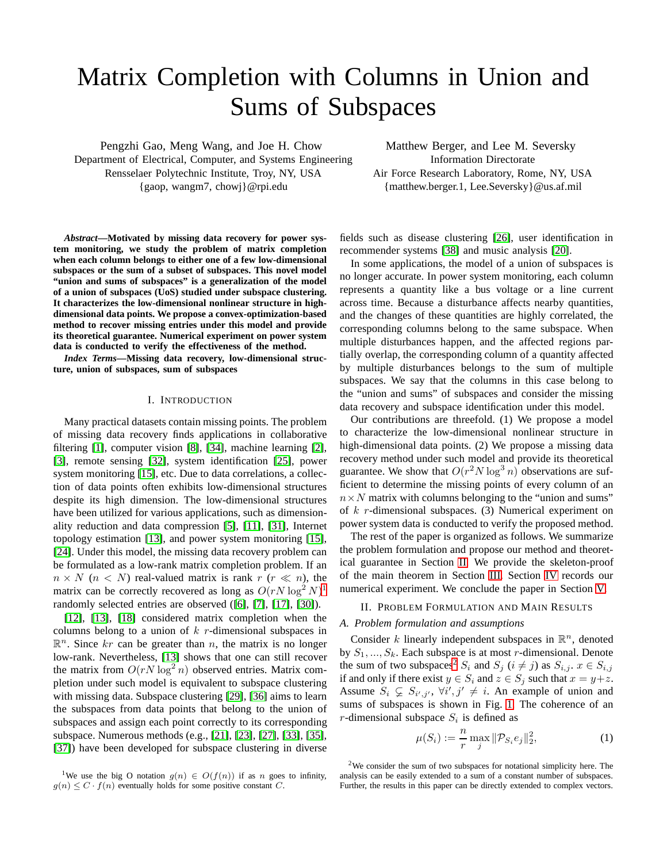# Matrix Completion with Columns in Union and Sums of Subspaces

Pengzhi Gao, Meng Wang, and Joe H. Chow Department of Electrical, Computer, and Systems Engineering Rensselaer Polytechnic Institute, Troy, NY, USA {gaop, wangm7, chowj}@rpi.edu

*Abstract***—Motivated by missing data recovery for power system monitoring, we study the problem of matrix completion when each column belongs to either one of a few low-dimensional subspaces or the sum of a subset of subspaces. This novel model "union and sums of subspaces" is a generalization of the model of a union of subspaces (UoS) studied under subspace clustering. It characterizes the low-dimensional nonlinear structure in highdimensional data points. We propose a convex-optimization-based method to recover missing entries under this model and provide its theoretical guarantee. Numerical experiment on power system data is conducted to verify the effectiveness of the method.**

*Index Terms***—Missing data recovery, low-dimensional structure, union of subspaces, sum of subspaces**

## I. INTRODUCTION

Many practical datasets contain missing points. The problem of missing data recovery finds applications in collaborative filtering [\[1\]](#page-4-0), computer vision [\[8\]](#page-4-1), [\[34\]](#page-4-2), machine learning [\[2\]](#page-4-3), [\[3\]](#page-4-4), remote sensing [\[32\]](#page-4-5), system identification [\[25\]](#page-4-6), power system monitoring [\[15\]](#page-4-7), etc. Due to data correlations, a collection of data points often exhibits low-dimensional structures despite its high dimension. The low-dimensional structures have been utilized for various applications, such as dimensionality reduction and data compression [\[5\]](#page-4-8), [\[11\]](#page-4-9), [\[31\]](#page-4-10), Internet topology estimation [\[13\]](#page-4-11), and power system monitoring [\[15\]](#page-4-7), [\[24\]](#page-4-12). Under this model, the missing data recovery problem can be formulated as a low-rank matrix completion problem. If an  $n \times N$  ( $n \times N$ ) real-valued matrix is rank  $r \approx n$ ), the matrix can be correctly recovered as long as  $O(rN \log^2 N)^1$  $O(rN \log^2 N)^1$ randomly selected entries are observed ([\[6\]](#page-4-13), [\[7\]](#page-4-14), [\[17\]](#page-4-15), [\[30\]](#page-4-16)).

[\[12\]](#page-4-17), [\[13\]](#page-4-11), [\[18\]](#page-4-18) considered matrix completion when the columns belong to a union of  $k$  r-dimensional subspaces in  $\mathbb{R}^n$ . Since kr can be greater than n, the matrix is no longer low-rank. Nevertheless, [\[13\]](#page-4-11) shows that one can still recover the matrix from  $O(rN \log^2 n)$  observed entries. Matrix completion under such model is equivalent to subspace clustering with missing data. Subspace clustering [\[29\]](#page-4-19), [\[36\]](#page-4-20) aims to learn the subspaces from data points that belong to the union of subspaces and assign each point correctly to its corresponding subspace. Numerous methods (e.g., [\[21\]](#page-4-21), [\[23\]](#page-4-22), [\[27\]](#page-4-23), [\[33\]](#page-4-24), [\[35\]](#page-4-25), [\[37\]](#page-4-26)) have been developed for subspace clustering in diverse

Matthew Berger, and Lee M. Seversky Information Directorate Air Force Research Laboratory, Rome, NY, USA {matthew.berger.1, Lee.Seversky}@us.af.mil

fields such as disease clustering [\[26\]](#page-4-27), user identification in recommender systems [\[38\]](#page-4-28) and music analysis [\[20\]](#page-4-29).

In some applications, the model of a union of subspaces is no longer accurate. In power system monitoring, each column represents a quantity like a bus voltage or a line current across time. Because a disturbance affects nearby quantities, and the changes of these quantities are highly correlated, the corresponding columns belong to the same subspace. When multiple disturbances happen, and the affected regions partially overlap, the corresponding column of a quantity affected by multiple disturbances belongs to the sum of multiple subspaces. We say that the columns in this case belong to the "union and sums" of subspaces and consider the missing data recovery and subspace identification under this model.

Our contributions are threefold. (1) We propose a model to characterize the low-dimensional nonlinear structure in high-dimensional data points. (2) We propose a missing data recovery method under such model and provide its theoretical guarantee. We show that  $O(r^2 N \log^3 n)$  observations are sufficient to determine the missing points of every column of an  $n \times N$  matrix with columns belonging to the "union and sums" of k r-dimensional subspaces. (3) Numerical experiment on power system data is conducted to verify the proposed method.

The rest of the paper is organized as follows. We summarize the problem formulation and propose our method and theoretical guarantee in Section [II.](#page-0-1) We provide the skeleton-proof of the main theorem in Section [III.](#page-2-0) Section [IV](#page-3-0) records our numerical experiment. We conclude the paper in Section [V.](#page-3-1)

# <span id="page-0-1"></span>II. PROBLEM FORMULATION AND MAIN RESULTS

# *A. Problem formulation and assumptions*

Consider k linearly independent subspaces in  $\mathbb{R}^n$ , denoted by  $S_1, ..., S_k$ . Each subspace is at most r-dimensional. Denote the sum of two subspaces<sup>[2](#page-0-2)</sup>  $S_i$  and  $S_j$  ( $i \neq j$ ) as  $S_{i,j}$ .  $x \in S_{i,j}$ if and only if there exist  $y \in S_i$  and  $z \in S_j$  such that  $x = y + z$ . Assume  $S_i \subsetneq S_{i',j'}$ ,  $\forall i',j' \neq i$ . An example of union and sums of subspaces is shown in Fig. [1.](#page-1-0) The coherence of an r-dimensional subspace  $S_i$  is defined as

$$
\mu(S_i) := \frac{n}{r} \max_j \|\mathcal{P}_{S_i} e_j\|_2^2, \tag{1}
$$

<span id="page-0-2"></span><sup>2</sup>We consider the sum of two subspaces for notational simplicity here. The analysis can be easily extended to a sum of a constant number of subspaces. Further, the results in this paper can be directly extended to complex vectors.

<span id="page-0-0"></span><sup>&</sup>lt;sup>1</sup>We use the big O notation  $g(n) \in O(f(n))$  if as n goes to infinity,  $g(n) \leq C \cdot f(n)$  eventually holds for some positive constant C.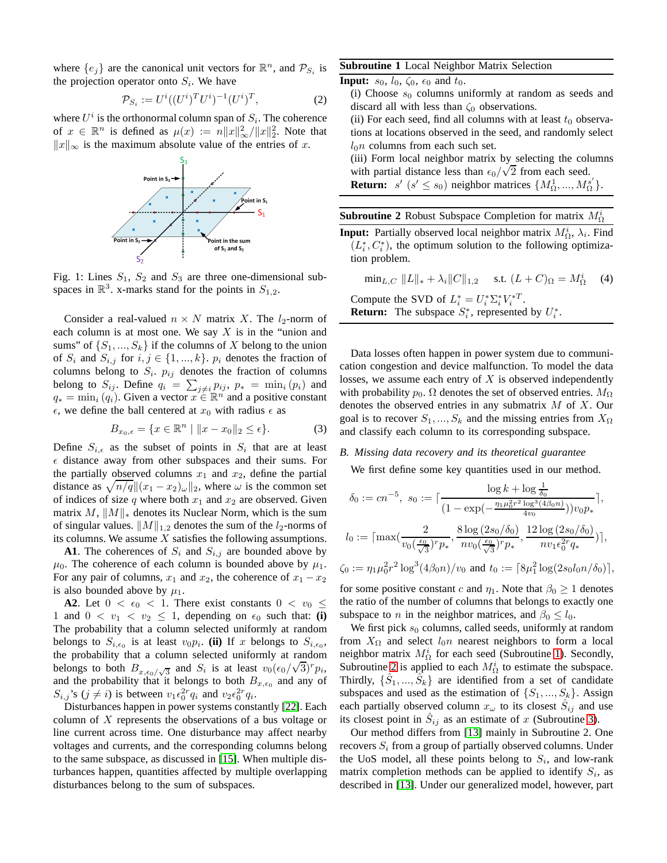where  $\{e_j\}$  are the canonical unit vectors for  $\mathbb{R}^n$ , and  $\mathcal{P}_{S_i}$  is the projection operator onto  $S_i$ . We have

$$
\mathcal{P}_{S_i} := U^i ((U^i)^T U^i)^{-1} (U^i)^T, \tag{2}
$$

<span id="page-1-0"></span>where  $U^i$  is the orthonormal column span of  $S_i$ . The coherence of  $x \in \mathbb{R}^n$  is defined as  $\mu(x) := n||x||_{\infty}^2/||x||_2^2$ . Note that  $||x||_{\infty}$  is the maximum absolute value of the entries of x.



Fig. 1: Lines  $S_1$ ,  $S_2$  and  $S_3$  are three one-dimensional subspaces in  $\mathbb{R}^3$ . x-marks stand for the points in  $S_{1,2}$ .

Consider a real-valued  $n \times N$  matrix X. The  $l_2$ -norm of each column is at most one. We say  $X$  is in the "union and sums" of  $\{S_1, ..., S_k\}$  if the columns of X belong to the union of  $S_i$  and  $S_{i,j}$  for  $i, j \in \{1, ..., k\}$ .  $p_i$  denotes the fraction of columns belong to  $S_i$ .  $p_{ij}$  denotes the fraction of columns belong to  $S_{ij}$ . Define  $q_i = \sum_{j \neq i} p_{ij}$ ,  $p_* = \min_i (p_i)$  and  $q_* = \min_i (q_i)$ . Given a vector  $x \in \mathbb{R}^n$  and a positive constant  $\epsilon$ , we define the ball centered at  $x_0$  with radius  $\epsilon$  as

$$
B_{x_0,\epsilon} = \{ x \in \mathbb{R}^n \mid \|x - x_0\|_2 \le \epsilon \}. \tag{3}
$$

Define  $S_{i,\epsilon}$  as the subset of points in  $S_i$  that are at least  $\epsilon$  distance away from other subspaces and their sums. For the partially observed columns  $x_1$  and  $x_2$ , define the partial distance as  $\sqrt{n/q}$   $|| (x_1 - x_2)_{\omega} ||_2$ , where  $\omega$  is the common set of indices of size q where both  $x_1$  and  $x_2$  are observed. Given matrix M,  $||M||_*$  denotes its Nuclear Norm, which is the sum of singular values.  $||M||_{1,2}$  denotes the sum of the  $l_2$ -norms of its columns. We assume  $X$  satisfies the following assumptions.

**A1**. The coherences of  $S_i$  and  $S_{i,j}$  are bounded above by  $\mu_0$ . The coherence of each column is bounded above by  $\mu_1$ . For any pair of columns,  $x_1$  and  $x_2$ , the coherence of  $x_1 - x_2$ is also bounded above by  $\mu_1$ .

**A2**. Let  $0 < \epsilon_0 < 1$ . There exist constants  $0 < v_0 \leq$ 1 and  $0 < v_1 < v_2 \le 1$ , depending on  $\epsilon_0$  such that: (i) The probability that a column selected uniformly at random belongs to  $S_{i, \epsilon_0}$  is at least  $v_0 p_i$ . (ii) If x belongs to  $S_{i, \epsilon_0}$ , the probability that a column selected uniformly at random belongs to both  $B_{x,\epsilon_0/\sqrt{3}}$  and  $S_i$  is at least  $v_0(\epsilon_0/\sqrt{3})^r p_i$ , and the probability that it belongs to both  $B_{x,\epsilon_0}$  and any of  $S_{i,j}$ 's  $(j \neq i)$  is between  $v_1 \epsilon_0^{2r} q_i$  and  $v_2 \epsilon_0^{2r} q_i$ .

Disturbances happen in power systems constantly [\[22\]](#page-4-30). Each column of  $X$  represents the observations of a bus voltage or line current across time. One disturbance may affect nearby voltages and currents, and the corresponding columns belong to the same subspace, as discussed in [\[15\]](#page-4-7). When multiple disturbances happen, quantities affected by multiple overlapping disturbances belong to the sum of subspaces.

# <span id="page-1-1"></span>**Subroutine 1** Local Neighbor Matrix Selection

**Input:**  $s_0$ ,  $l_0$ ,  $\zeta_0$ ,  $\epsilon_0$  and  $t_0$ .

(i) Choose  $s_0$  columns uniformly at random as seeds and discard all with less than  $\zeta_0$  observations.

(ii) For each seed, find all columns with at least  $t_0$  observations at locations observed in the seed, and randomly select  $l_0$ n columns from each such set.

(iii) Form local neighbor matrix by selecting the columns with partial distance less than  $\epsilon_0/\sqrt{2}$  from each seed. **Return:**  $s'$  ( $s' \le s_0$ ) neighbor matrices  $\{M_\Omega^1, ..., M_\Omega^{s'}\}.$ 

<span id="page-1-2"></span>

|  | <b>Subroutine 2</b> Robust Subspace Completion for matrix $M_{\Omega}^{i}$ |  |
|--|----------------------------------------------------------------------------|--|
|  |                                                                            |  |

**Input:** Partially observed local neighbor matrix  $M_{\Omega}^{i}$ ,  $\lambda_{i}$ . Find  $(L_i^*, C_i^*)$ , the optimum solution to the following optimization problem.

<span id="page-1-3"></span> $\min_{L,C} ||L||_* + \lambda_i ||C||_{1,2}$  s.t.  $(L+C)_{\Omega} = M_{\Omega}^i$  $(4)$ Compute the SVD of  $L_i^* = U_i^* \Sigma_i^* V_i^{*T}$ . **Return:** The subspace  $S_i^*$ , represented by  $U_i^*$ .

Data losses often happen in power system due to communication congestion and device malfunction. To model the data losses, we assume each entry of  $X$  is observed independently with probability  $p_0$ .  $\Omega$  denotes the set of observed entries.  $M_{\Omega}$ denotes the observed entries in any submatrix  $M$  of  $X$ . Our goal is to recover  $S_1, ..., S_k$  and the missing entries from  $X_{\Omega}$ and classify each column to its corresponding subspace.

## *B. Missing data recovery and its theoretical guarantee*

We first define some key quantities used in our method.

$$
\delta_0 := cn^{-5}, \ s_0 := \lceil \frac{\log k + \log \frac{1}{\delta_0}}{(1 - \exp(-\frac{\eta_1 \mu_0^2 r^2 \log^3(4\beta_0 n)}{4v_0}))v_0 p_*} \rceil,
$$
\n
$$
l_0 := \lceil \max(\frac{2}{v_0(\frac{\epsilon_0}{\sqrt{3}})^r p_*}, \frac{8 \log (2s_0/\delta_0)}{nv_0(\frac{\epsilon_0}{\sqrt{3}})^r p_*}, \frac{12 \log (2s_0/\delta_0)}{nv_1 \epsilon_0^2 r q_*}) \rceil,
$$

 $\zeta_0 := \eta_1 \mu_0^2 r^2 \log^3(4\beta_0 n)/v_0$  and  $t_0 := \lceil 8\mu_1^2 \log(2s_0 l_0 n/\delta_0) \rceil$ ,

for some positive constant c and  $\eta_1$ . Note that  $\beta_0 \geq 1$  denotes the ratio of the number of columns that belongs to exactly one subspace to *n* in the neighbor matrices, and  $\beta_0 \leq l_0$ .

We first pick  $s_0$  columns, called seeds, uniformly at random from  $X_{\Omega}$  and select  $l_0n$  nearest neighbors to form a local neighbor matrix  $M_{\Omega}^{i}$  for each seed (Subroutine [1\)](#page-1-1). Secondly, Subroutine [2](#page-1-2) is applied to each  $M_{\Omega}^{i}$  to estimate the subspace. Thirdly,  $\{\hat{S}_1, ..., \hat{S}_k\}$  are identified from a set of candidate subspaces and used as the estimation of  $\{S_1, ..., S_k\}$ . Assign each partially observed column  $x_{\omega}$  to its closest  $\hat{S}_{ij}$  and use its closest point in  $\hat{S}_{ij}$  as an estimate of x (Subroutine [3\)](#page-2-1).

Our method differs from [\[13\]](#page-4-11) mainly in Subroutine 2. One recovers  $S_i$  from a group of partially observed columns. Under the UoS model, all these points belong to  $S_i$ , and low-rank matrix completion methods can be applied to identify  $S_i$ , as described in [\[13\]](#page-4-11). Under our generalized model, however, part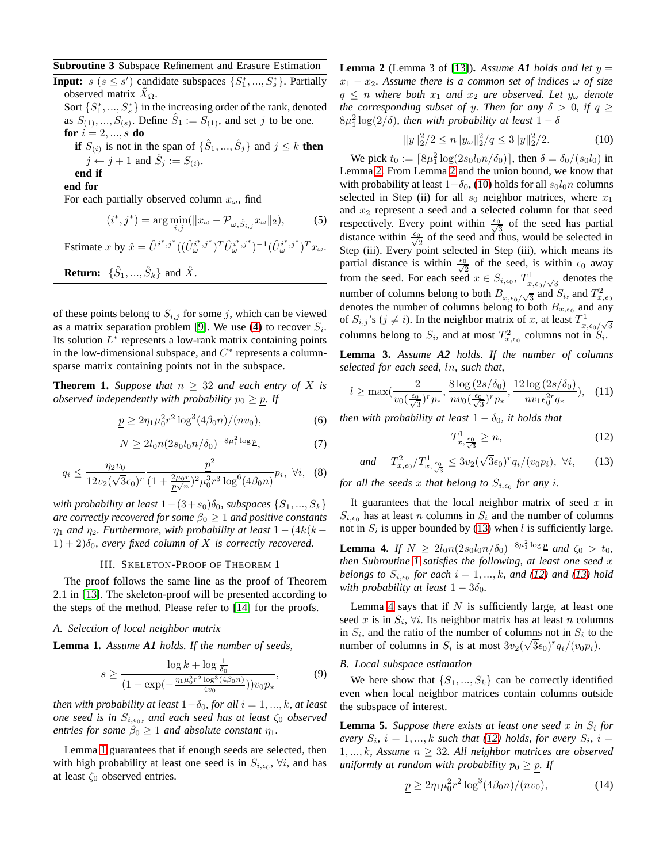## <span id="page-2-1"></span>**Subroutine 3** Subspace Refinement and Erasure Estimation

**Input:**  $s$  ( $s \leq s'$ ) candidate subspaces  $\{S_1^*,...,S_s^*\}$ . Partially observed matrix  $X_{\Omega}$ .

Sort  $\{S_1^*, ..., S_s^*\}$  in the increasing order of the rank, denoted as  $S_{(1)},...,S_{(s)}$ . Define  $\hat{S}_1 := S_{(1)}$ , and set j to be one. **for**  $i = 2, ..., s$  **do** 

**if**  $S_{(i)}$  is not in the span of  $\{\hat{S}_1, ..., \hat{S}_j\}$  and  $j \leq k$  **then**  $j \leftarrow j + 1$  and  $\hat{S}_j := S_{(i)}$ .

**end if**

**end for**

For each partially observed column  $x_{\omega}$ , find

<span id="page-2-11"></span>
$$
(i^*, j^*) = \arg\min_{i,j} (\|x_{\omega} - \mathcal{P}_{\omega, \hat{S}_{i,j}} x_{\omega}\|_2),
$$
 (5)

Estimate x by  $\hat{x} = \hat{U}^{i^*,j^*}((\hat{U}^{i^*,j^*}_{\omega})^T \hat{U}^{i^*,j^*}_{\omega})^{-1}(\hat{U}^{i^*,j^*}_{\omega})^T x_{\omega}$ .

**Return:**  $\{\hat{S}_1, ..., \hat{S}_k\}$  and  $\hat{X}$ .

of these points belong to  $S_{i,j}$  for some j, which can be viewed as a matrix separation problem [\[9\]](#page-4-31). We use [\(4\)](#page-1-3) to recover  $S_i$ . Its solution  $L^*$  represents a low-rank matrix containing points in the low-dimensional subspace, and  $C^*$  represents a columnsparse matrix containing points not in the subspace.

<span id="page-2-9"></span>**Theorem 1.** *Suppose that*  $n \geq 32$  *and each entry of* X *is observed independently with probability*  $p_0 \geq p$ . If

<span id="page-2-12"></span>
$$
\underline{p} \ge 2\eta_1 \mu_0^2 r^2 \log^3(4\beta_0 n)/(nv_0),\tag{6}
$$

$$
N \ge 2l_0 n (2s_0 l_0 n/\delta_0)^{-8\mu_1^2 \log p},\tag{7}
$$

<span id="page-2-8"></span>
$$
q_i \le \frac{\eta_2 v_0}{12v_2(\sqrt{3}\epsilon_0)^r} \frac{\underline{p}^2}{(1 + \frac{2\mu_0 r}{\underline{p}\sqrt{n}})^2 \mu_0^3 r^3 \log^6(4\beta_0 n)} p_i, \ \forall i, \ (8)
$$

*with probability at least*  $1-(3+s_0)\delta_0$ , *subspaces*  $\{S_1, ..., S_k\}$ *are correctly recovered for some*  $\beta_0 \geq 1$  *and positive constants*  $\eta_1$  *and*  $\eta_2$ *. Furthermore, with probability at least*  $1 - (4k(k (1) + 2)\delta_0$ , every fixed column of X is correctly recovered.

# III. SKELETON-PROOF OF THEOREM 1

<span id="page-2-0"></span>The proof follows the same line as the proof of Theorem 2.1 in [\[13\]](#page-4-11). The skeleton-proof will be presented according to the steps of the method. Please refer to [\[14\]](#page-4-32) for the proofs.

## *A. Selection of local neighbor matrix*

<span id="page-2-2"></span>**Lemma 1.** *Assume A1 holds. If the number of seeds,*

$$
s \ge \frac{\log k + \log \frac{1}{\delta_0}}{(1 - \exp(-\frac{\eta_1 \mu_0^2 r^2 \log^3(4\beta_0 n)}{4v_0}))v_0 p_*},\tag{9}
$$

*then with probability at least*  $1-\delta_0$ *, for all*  $i = 1, ..., k$ *, at least one seed is in*  $S_{i,\epsilon_0}$ , and each seed has at least  $\zeta_0$  *observed entries for some*  $\beta_0 \geq 1$  *and absolute constant*  $\eta_1$ *.* 

Lemma [1](#page-2-2) guarantees that if enough seeds are selected, then with high probability at least one seed is in  $S_{i,\epsilon_0}$ ,  $\forall i$ , and has at least  $\zeta_0$  observed entries.

<span id="page-2-3"></span>**Lemma 2** (Lemma 3 of [\[13\]](#page-4-11)). Assume A1 holds and let  $y =$  $x_1 - x_2$ . Assume there is a common set of indices  $\omega$  of size  $q \leq n$  where both  $x_1$  and  $x_2$  are observed. Let  $y_\omega$  denote *the corresponding subset of y. Then for any*  $\delta > 0$ *, if*  $q \geq$  $8\mu_1^2 \log(2/\delta)$ , then with probability at least  $1-\delta$ 

<span id="page-2-4"></span>
$$
||y||_2^2/2 \le n||y_\omega||_2^2/q \le 3||y||_2^2/2. \tag{10}
$$

We pick  $t_0 := [8\mu_1^2 \log(2s_0 l_0 n/\delta_0)]$ , then  $\delta = \delta_0/(s_0 l_0)$  in Lemma [2.](#page-2-3) From Lemma [2](#page-2-3) and the union bound, we know that with probability at least  $1-\delta_0$ , [\(10\)](#page-2-4) holds for all  $s_0 l_0 n$  columns selected in Step (ii) for all  $s_0$  neighbor matrices, where  $x_1$ and  $x_2$  represent a seed and a selected column for that seed respectively. Every point within  $\frac{\epsilon_0}{\sqrt{3}}$  of the seed has partial distance within  $\frac{\epsilon_0}{\sqrt{2}}$  of the seed and thus, would be selected in Step (iii). Every point selected in Step (iii), which means its partial distance is within  $\frac{\epsilon_0}{\sqrt{2}}$  of the seed, is within  $\epsilon_0$  away from the seed. For each seed  $x \in S_{i,\epsilon_0}$ ,  $T_x^1$  $\int_{x,\epsilon_0/\sqrt{3}}^{1}$  denotes the number of columns belong to both  $B_{x, \epsilon_0/\sqrt{3}}$  and  $S_i$ , and  $T_{x, \epsilon_0}^2$ denotes the number of columns belong to both  $B_{x,\epsilon_0}$  and any of  $S_{i,j}$ 's ( $j \neq i$ ). In the neighbor matrix of x, at least  $T_x^1$  $\int_{x,\epsilon_0/\sqrt{3}}^{\infty}$ columns belong to  $S_i$ , and at most  $T_{x,\epsilon_0}^2$  columns not in  $S_i$ .

<span id="page-2-13"></span>**Lemma 3.** *Assume A2 holds. If the number of columns selected for each seed,* ln*, such that,*

$$
l \ge \max\left(\frac{2}{v_0(\frac{\epsilon_0}{\sqrt{3}})^r p_*}, \frac{8\log\left(2s/\delta_0\right)}{nv_0(\frac{\epsilon_0}{\sqrt{3}})^r p_*}, \frac{12\log\left(2s/\delta_0\right)}{nv_1 \epsilon_0^2 r q_*}\right), \quad (11)
$$

*then with probability at least*  $1 - \delta_0$ *, it holds that* 

<span id="page-2-6"></span>
$$
T_{x,\frac{\epsilon_0}{\sqrt{3}}}^1 \ge n,\tag{12}
$$

<span id="page-2-5"></span>and 
$$
T_{x,\epsilon_0}^2/T_{x,\frac{\epsilon_0}{\sqrt{3}}}^1 \le 3v_2(\sqrt{3}\epsilon_0)^r q_i/(v_0 p_i), \ \forall i,
$$
 (13)

*for all the seeds* x *that belong to*  $S_{i, \epsilon_0}$  *for any i.* 

It guarantees that the local neighbor matrix of seed  $x$  in  $S_{i,\epsilon_0}$  has at least n columns in  $S_i$  and the number of columns not in  $S_i$  is upper bounded by [\(13\)](#page-2-5) when l is sufficiently large.

<span id="page-2-7"></span>**Lemma 4.** *If*  $N \ge 2l_0 n (2s_0 l_0 n/\delta_0)^{-8\mu_1^2 \log p}$  and  $\zeta_0 > t_0$ , *then Subroutine [1](#page-1-1) satisfies the following, at least one seed* x *belongs to*  $S_{i, \epsilon_0}$  *for each*  $i = 1, ..., k$ *, and* [\(12\)](#page-2-6) *and* [\(13\)](#page-2-5) *hold with probability at least*  $1 - 3\delta_0$ *.* 

Lemma [4](#page-2-7) says that if  $N$  is sufficiently large, at least one seed x is in  $S_i$ ,  $\forall i$ . Its neighbor matrix has at least n columns in  $S_i$ , and the ratio of the number of columns not in  $S_i$  to the number of columns in  $S_i$  is at most  $3v_2(\sqrt{3}\epsilon_0)^r q_i/(v_0p_i)$ .

# *B. Local subspace estimation*

We here show that  $\{S_1, ..., S_k\}$  can be correctly identified even when local neighbor matrices contain columns outside the subspace of interest.

<span id="page-2-10"></span>**Lemma 5.** Suppose there exists at least one seed x in  $S_i$  for *every*  $S_i$ ,  $i = 1, ..., k$  *such that* [\(12\)](#page-2-6) *holds, for every*  $S_i$ ,  $i =$ 1, ..., k, Assume  $n \geq 32$ . All neighbor matrices are observed *uniformly at random with probability*  $p_0 \geq p$ . If

<span id="page-2-14"></span>
$$
\underline{p} \ge 2\eta_1 \mu_0^2 r^2 \log^3(4\beta_0 n)/(nv_0),\tag{14}
$$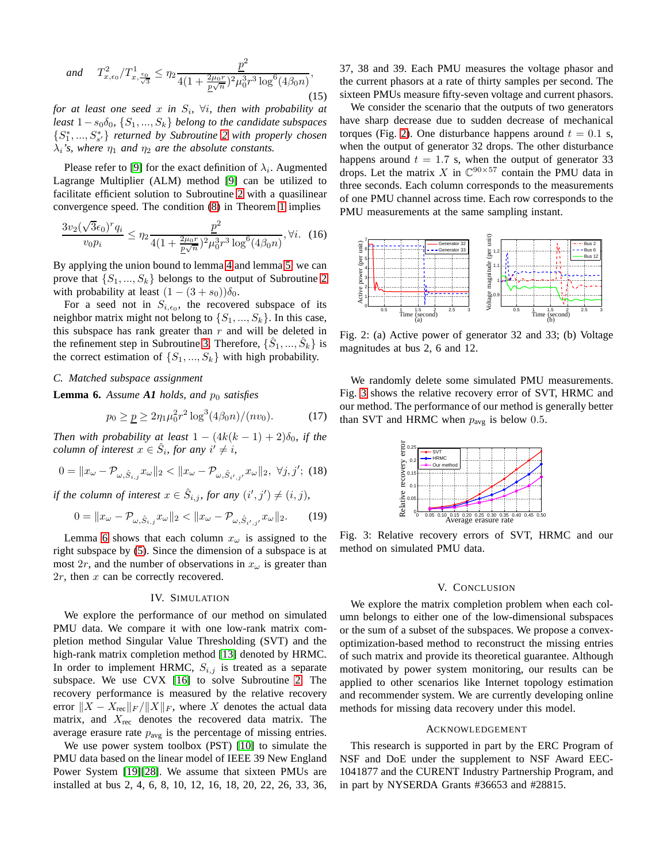<span id="page-3-5"></span>and 
$$
T_{x,\epsilon_0}^2/T_{x,\frac{\epsilon_0}{\sqrt{3}}}^1 \leq \eta_2 \frac{p^2}{4(1 + \frac{2\mu_0 r}{p\sqrt{n}})^2 \mu_0^3 r^3 \log^6(4\beta_0 n)},
$$
\n(15)

*for at least one seed* x *in* S<sup>i</sup> *,* ∀i*, then with probability at least*  $1-s<sub>0</sub>δ<sub>0</sub>$ ,  $\{S<sub>1</sub>,...,S<sub>k</sub>\}$  *belong to the candidate subspaces* {S ∗ 1 , ..., S∗ s ′} *returned by Subroutine [2](#page-1-2) with properly chosen*  $\lambda_i$ *'s, where*  $\eta_1$  *and*  $\eta_2$  *are the absolute constants.* 

Please refer to [\[9\]](#page-4-31) for the exact definition of  $\lambda_i$ . Augmented Lagrange Multiplier (ALM) method [\[9\]](#page-4-31) can be utilized to facilitate efficient solution to Subroutine [2](#page-1-2) with a quasilinear convergence speed. The condition [\(8\)](#page-2-8) in Theorem [1](#page-2-9) implies

$$
\frac{3v_2(\sqrt{3}\epsilon_0)^r q_i}{v_0 p_i} \le \eta_2 \frac{p^2}{4(1 + \frac{2\mu_0 r}{p\sqrt{n}})^2 \mu_0^3 r^3 \log^6(4\beta_0 n)}, \forall i. \quad (16)
$$

By applying the union bound to lemma [4](#page-2-7) and lemma [5,](#page-2-10) we can prove that  $\{S_1, ..., S_k\}$  belongs to the output of Subroutine [2](#page-1-2) with probability at least  $(1 - (3 + s_0))\delta_0$ .

For a seed not in  $S_{i, \epsilon_0}$ , the recovered subspace of its neighbor matrix might not belong to  $\{S_1, ..., S_k\}$ . In this case, this subspace has rank greater than  $r$  and will be deleted in the refinement step in Subroutine [3.](#page-2-1) Therefore,  $\{\hat{S}_1, ..., \hat{S}_k\}$  is the correct estimation of  $\{S_1, ..., S_k\}$  with high probability.

#### *C. Matched subspace assignment*

<span id="page-3-2"></span>**Lemma 6.** Assume  $AI$  holds, and  $p_0$  satisfies

$$
p_0 \ge \underline{p} \ge 2\eta_1 \mu_0^2 r^2 \log^3(4\beta_0 n)/(n v_0). \tag{17}
$$

*Then with probability at least*  $1 - (4k(k - 1) + 2)\delta_0$ , *if the column of interest*  $x \in \hat{S}_i$ , for any  $i' \neq i$ ,

$$
0 = \|x_{\omega} - \mathcal{P}_{\omega, \hat{S}_{i,j}} x_{\omega}\|_2 < \|x_{\omega} - \mathcal{P}_{\omega, \hat{S}_{i',j'}} x_{\omega}\|_2, \ \forall j, j'; \ (18)
$$

*if the column of interest*  $x \in \hat{S}_{i,j}$ , for any  $(i', j') \neq (i, j)$ ,

$$
0 = \|x_{\omega} - \mathcal{P}_{\omega, \hat{S}_{i,j}} x_{\omega}\|_2 < \|x_{\omega} - \mathcal{P}_{\omega, \hat{S}_{i',j'}} x_{\omega}\|_2. \tag{19}
$$

Lemma [6](#page-3-2) shows that each column  $x_{\omega}$  is assigned to the right subspace by [\(5\)](#page-2-11). Since the dimension of a subspace is at most 2r, and the number of observations in  $x_{\omega}$  is greater than  $2r$ , then x can be correctly recovered.

## IV. SIMULATION

<span id="page-3-0"></span>We explore the performance of our method on simulated PMU data. We compare it with one low-rank matrix completion method Singular Value Thresholding (SVT) and the high-rank matrix completion method [\[13\]](#page-4-11) denoted by HRMC. In order to implement HRMC,  $S_{i,j}$  is treated as a separate subspace. We use CVX [\[16\]](#page-4-33) to solve Subroutine [2.](#page-1-2) The recovery performance is measured by the relative recovery error  $||X - X_{\text{rec}}||_F / ||X||_F$ , where X denotes the actual data matrix, and  $X_{\text{rec}}$  denotes the recovered data matrix. The average erasure rate  $p_{avg}$  is the percentage of missing entries.

We use power system toolbox (PST) [\[10\]](#page-4-34) to simulate the PMU data based on the linear model of IEEE 39 New England Power System [\[19\]](#page-4-35)[\[28\]](#page-4-36). We assume that sixteen PMUs are installed at bus 2, 4, 6, 8, 10, 12, 16, 18, 20, 22, 26, 33, 36, 37, 38 and 39. Each PMU measures the voltage phasor and the current phasors at a rate of thirty samples per second. The sixteen PMUs measure fifty-seven voltage and current phasors.

We consider the scenario that the outputs of two generators have sharp decrease due to sudden decrease of mechanical torques (Fig. [2\)](#page-3-3). One disturbance happens around  $t = 0.1$  s, when the output of generator 32 drops. The other disturbance happens around  $t = 1.7$  s, when the output of generator 33 drops. Let the matrix X in  $\mathbb{C}^{90\times 57}$  contain the PMU data in three seconds. Each column corresponds to the measurements of one PMU channel across time. Each row corresponds to the PMU measurements at the same sampling instant.

<span id="page-3-3"></span>

Fig. 2: (a) Active power of generator 32 and 33; (b) Voltage magnitudes at bus 2, 6 and 12.

<span id="page-3-4"></span>We randomly delete some simulated PMU measurements. Fig. [3](#page-3-4) shows the relative recovery error of SVT, HRMC and our method. The performance of our method is generally better than SVT and HRMC when  $p_{avg}$  is below 0.5.



Fig. 3: Relative recovery errors of SVT, HRMC and our method on simulated PMU data.

# V. CONCLUSION

<span id="page-3-1"></span>We explore the matrix completion problem when each column belongs to either one of the low-dimensional subspaces or the sum of a subset of the subspaces. We propose a convexoptimization-based method to reconstruct the missing entries of such matrix and provide its theoretical guarantee. Although motivated by power system monitoring, our results can be applied to other scenarios like Internet topology estimation and recommender system. We are currently developing online methods for missing data recovery under this model.

#### ACKNOWLEDGEMENT

This research is supported in part by the ERC Program of NSF and DoE under the supplement to NSF Award EEC-1041877 and the CURENT Industry Partnership Program, and in part by NYSERDA Grants #36653 and #28815.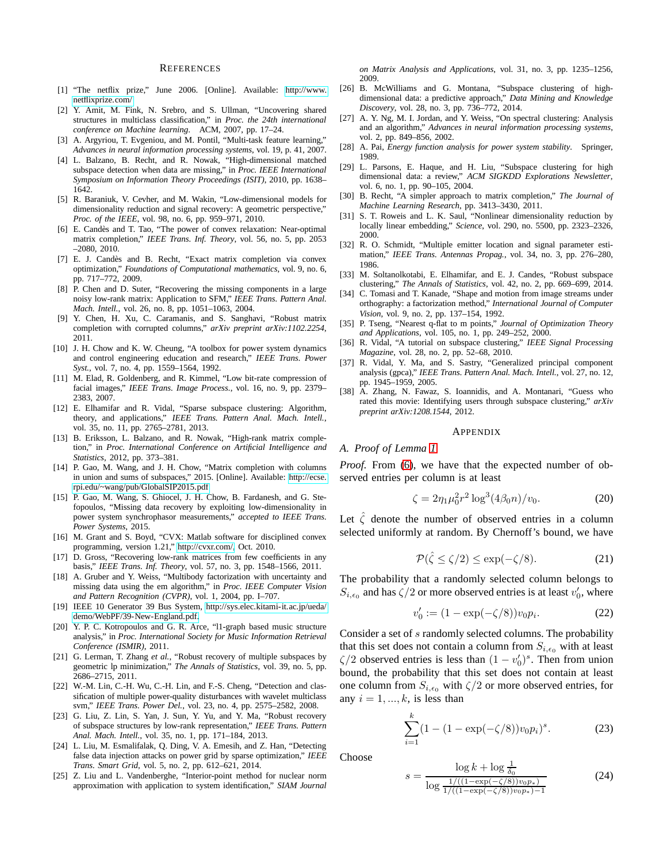#### **REFERENCES**

- <span id="page-4-0"></span>[1] "The netflix prize," June 2006. [Online]. Available: [http://www.](http://www.netflixprize.com/) [netflixprize.com/](http://www.netflixprize.com/)
- <span id="page-4-3"></span>[2] Y. Amit, M. Fink, N. Srebro, and S. Ullman, "Uncovering shared structures in multiclass classification," in *Proc. the 24th international conference on Machine learning*. ACM, 2007, pp. 17–24.
- <span id="page-4-4"></span>[3] A. Argyriou, T. Evgeniou, and M. Pontil, "Multi-task feature learning," *Advances in neural information processing systems*, vol. 19, p. 41, 2007.
- <span id="page-4-37"></span>[4] L. Balzano, B. Recht, and R. Nowak, "High-dimensional matched subspace detection when data are missing," in *Proc. IEEE International Symposium on Information Theory Proceedings (ISIT)*, 2010, pp. 1638– 1642.
- <span id="page-4-8"></span>[5] R. Baraniuk, V. Cevher, and M. Wakin, "Low-dimensional models for dimensionality reduction and signal recovery: A geometric perspective," *Proc. of the IEEE*, vol. 98, no. 6, pp. 959–971, 2010.
- <span id="page-4-13"></span>[6] E. Candès and T. Tao, "The power of convex relaxation: Near-optimal matrix completion," *IEEE Trans. Inf. Theory*, vol. 56, no. 5, pp. 2053 –2080, 2010.
- <span id="page-4-14"></span>[7] E. J. Candès and B. Recht, "Exact matrix completion via convex optimization," *Foundations of Computational mathematics*, vol. 9, no. 6, pp. 717–772, 2009.
- <span id="page-4-1"></span>[8] P. Chen and D. Suter, "Recovering the missing components in a large noisy low-rank matrix: Application to SFM," *IEEE Trans. Pattern Anal. Mach. Intell.*, vol. 26, no. 8, pp. 1051–1063, 2004.
- <span id="page-4-31"></span>[9] Y. Chen, H. Xu, C. Caramanis, and S. Sanghavi, "Robust matrix completion with corrupted columns," *arXiv preprint arXiv:1102.2254*, 2011.
- <span id="page-4-34"></span>[10] J. H. Chow and K. W. Cheung, "A toolbox for power system dynamics and control engineering education and research," *IEEE Trans. Power Syst.*, vol. 7, no. 4, pp. 1559–1564, 1992.
- <span id="page-4-9"></span>[11] M. Elad, R. Goldenberg, and R. Kimmel, "Low bit-rate compression of facial images," *IEEE Trans. Image Process.*, vol. 16, no. 9, pp. 2379– 2383, 2007.
- <span id="page-4-17"></span>[12] E. Elhamifar and R. Vidal, "Sparse subspace clustering: Algorithm, theory, and applications," *IEEE Trans. Pattern Anal. Mach. Intell.*, vol. 35, no. 11, pp. 2765–2781, 2013.
- <span id="page-4-11"></span>[13] B. Eriksson, L. Balzano, and R. Nowak, "High-rank matrix completion," in *Proc. International Conference on Artificial Intelligence and Statistics*, 2012, pp. 373–381.
- <span id="page-4-32"></span>[14] P. Gao, M. Wang, and J. H. Chow, "Matrix completion with columns in union and sums of subspaces," 2015. [Online]. Available: [http://ecse.](http://ecse.rpi.edu/~wang/pub/GlobalSIP2015.pdf) [rpi.edu/~wang/pub/GlobalSIP2015.pdf](http://ecse.rpi.edu/~wang/pub/GlobalSIP2015.pdf)
- <span id="page-4-7"></span>[15] P. Gao, M. Wang, S. Ghiocel, J. H. Chow, B. Fardanesh, and G. Stefopoulos, "Missing data recovery by exploiting low-dimensionality in power system synchrophasor measurements," *accepted to IEEE Trans. Power Systems*, 2015.
- <span id="page-4-33"></span>[16] M. Grant and S. Boyd, "CVX: Matlab software for disciplined convex programming, version 1.21," [http://cvxr.com/,](http://cvxr.com/) Oct. 2010.
- <span id="page-4-15"></span>[17] D. Gross, "Recovering low-rank matrices from few coefficients in any basis," *IEEE Trans. Inf. Theory*, vol. 57, no. 3, pp. 1548–1566, 2011.
- <span id="page-4-18"></span>[18] A. Gruber and Y. Weiss, "Multibody factorization with uncertainty and missing data using the em algorithm," in *Proc. IEEE Computer Vision and Pattern Recognition (CVPR)*, vol. 1, 2004, pp. I–707.
- <span id="page-4-35"></span>[19] IEEE 10 Generator 39 Bus System, [http://sys.elec.kitami-it.ac.jp/ueda/](http://sys.elec.kitami-it.ac.jp/ueda/demo/WebPF/39-New-England.pdf) [demo/WebPF/39-New-England.pdf.](http://sys.elec.kitami-it.ac.jp/ueda/demo/WebPF/39-New-England.pdf)
- <span id="page-4-29"></span>[20] Y. P. C. Kotropoulos and G. R. Arce, "11-graph based music structure analysis," in *Proc. International Society for Music Information Retrieval Conference (ISMIR)*, 2011.
- <span id="page-4-21"></span>[21] G. Lerman, T. Zhang *et al.*, "Robust recovery of multiple subspaces by geometric lp minimization," *The Annals of Statistics*, vol. 39, no. 5, pp. 2686–2715, 2011.
- <span id="page-4-30"></span>[22] W.-M. Lin, C.-H. Wu, C.-H. Lin, and F.-S. Cheng, "Detection and classification of multiple power-quality disturbances with wavelet multiclass svm," *IEEE Trans. Power Del.*, vol. 23, no. 4, pp. 2575–2582, 2008.
- <span id="page-4-22"></span>[23] G. Liu, Z. Lin, S. Yan, J. Sun, Y. Yu, and Y. Ma, "Robust recovery of subspace structures by low-rank representation," *IEEE Trans. Pattern Anal. Mach. Intell.*, vol. 35, no. 1, pp. 171–184, 2013.
- <span id="page-4-12"></span>[24] L. Liu, M. Esmalifalak, Q. Ding, V. A. Emesih, and Z. Han, "Detecting false data injection attacks on power grid by sparse optimization," *IEEE Trans. Smart Grid*, vol. 5, no. 2, pp. 612–621, 2014.
- <span id="page-4-6"></span>[25] Z. Liu and L. Vandenberghe, "Interior-point method for nuclear norm approximation with application to system identification," *SIAM Journal*

*on Matrix Analysis and Applications*, vol. 31, no. 3, pp. 1235–1256, 2009.

- <span id="page-4-27"></span>[26] B. McWilliams and G. Montana, "Subspace clustering of highdimensional data: a predictive approach," *Data Mining and Knowledge Discovery*, vol. 28, no. 3, pp. 736–772, 2014.
- <span id="page-4-23"></span>[27] A. Y. Ng, M. I. Jordan, and Y. Weiss, "On spectral clustering: Analysis and an algorithm," *Advances in neural information processing systems*, vol. 2, pp. 849–856, 2002.
- <span id="page-4-36"></span><span id="page-4-19"></span>[28] A. Pai, *Energy function analysis for power system stability*. Springer, 1989.
- [29] L. Parsons, E. Haque, and H. Liu, "Subspace clustering for high dimensional data: a review," *ACM SIGKDD Explorations Newsletter*, vol. 6, no. 1, pp. 90–105, 2004.
- <span id="page-4-16"></span>[30] B. Recht, "A simpler approach to matrix completion," *The Journal of Machine Learning Research*, pp. 3413–3430, 2011.
- <span id="page-4-10"></span>[31] S. T. Roweis and L. K. Saul, "Nonlinear dimensionality reduction by locally linear embedding," *Science*, vol. 290, no. 5500, pp. 2323–2326, 2000.
- <span id="page-4-5"></span>[32] R. O. Schmidt, "Multiple emitter location and signal parameter estimation," *IEEE Trans. Antennas Propag.*, vol. 34, no. 3, pp. 276–280, 1986.
- <span id="page-4-24"></span>[33] M. Soltanolkotabi, E. Elhamifar, and E. J. Candes, "Robust subspace clustering," *The Annals of Statistics*, vol. 42, no. 2, pp. 669–699, 2014.
- <span id="page-4-2"></span>[34] C. Tomasi and T. Kanade, "Shape and motion from image streams under orthography: a factorization method," *International Journal of Computer Vision*, vol. 9, no. 2, pp. 137–154, 1992.
- <span id="page-4-25"></span>[35] P. Tseng, "Nearest q-flat to m points," *Journal of Optimization Theory and Applications*, vol. 105, no. 1, pp. 249–252, 2000.
- <span id="page-4-20"></span>[36] R. Vidal, "A tutorial on subspace clustering," *IEEE Signal Processing Magazine*, vol. 28, no. 2, pp. 52–68, 2010.
- <span id="page-4-26"></span>[37] R. Vidal, Y. Ma, and S. Sastry, "Generalized principal component analysis (gpca)," *IEEE Trans. Pattern Anal. Mach. Intell.*, vol. 27, no. 12, pp. 1945–1959, 2005.
- <span id="page-4-28"></span>[38] A. Zhang, N. Fawaz, S. Ioannidis, and A. Montanari, "Guess who rated this movie: Identifying users through subspace clustering," *arXiv preprint arXiv:1208.1544*, 2012.

## APPENDIX

*A. Proof of Lemma [1](#page-2-2)*

*Proof.* From [\(6\)](#page-2-12), we have that the expected number of observed entries per column is at least

$$
\zeta = 2\eta_1 \mu_0^2 r^2 \log^3(4\beta_0 n) / v_0. \tag{20}
$$

Let  $\zeta$  denote the number of observed entries in a column selected uniformly at random. By Chernoff's bound, we have

$$
\mathcal{P}(\hat{\zeta} \le \zeta/2) \le \exp(-\zeta/8). \tag{21}
$$

The probability that a randomly selected column belongs to  $S_{i,\epsilon_0}$  and has  $\zeta/2$  or more observed entries is at least  $v'_0$ , where

$$
v_0' := (1 - \exp(-\zeta/8))v_0 p_i.
$$
 (22)

Consider a set of s randomly selected columns. The probability that this set does not contain a column from  $S_{i,\epsilon_0}$  with at least  $\zeta/2$  observed entries is less than  $(1 - v'_0)^s$ . Then from union bound, the probability that this set does not contain at least one column from  $S_{i,\epsilon_0}$  with  $\zeta/2$  or more observed entries, for any  $i = 1, ..., k$ , is less than

$$
\sum_{i=1}^{k} (1 - (1 - \exp(-\zeta/8))v_0 p_i)^s.
$$
 (23)

Choose

$$
s = \frac{\log k + \log \frac{1}{\delta_0}}{\log \frac{1/((1 - \exp(-\zeta/8))v_0 p_*)}{1/((1 - \exp(-\zeta/8))v_0 p_*) - 1}} \tag{24}
$$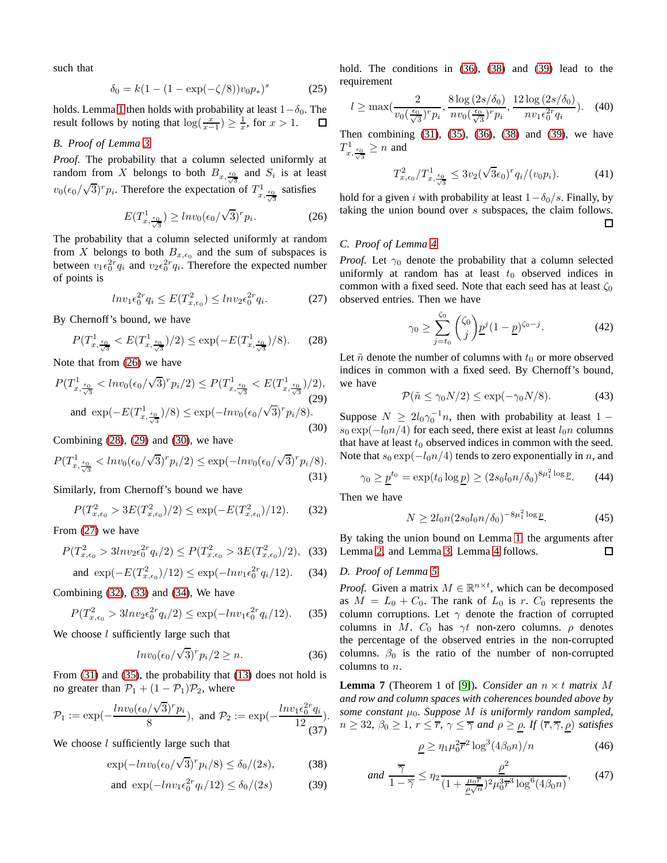such that

$$
\delta_0 = k(1 - (1 - \exp(-\zeta/8))v_0 p_*)^s \tag{25}
$$

holds. Lemma [1](#page-2-2) then holds with probability at least  $1-\delta_0$ . The result follows by noting that  $\log(\frac{x}{x-1}) \geq \frac{1}{x}$ , for  $x > 1$ . result follows by noting that  $\log(\frac{x}{x-1}) \geq \frac{1}{x}$ , for  $x > 1$ .

# *B. Proof of Lemma [3](#page-2-13)*

*Proof.* The probability that a column selected uniformly at random from X belongs to both  $B_{x, \frac{\epsilon_0}{\sqrt{3}}}$  and  $S_i$  is at least  $v_0(\epsilon_0/\sqrt{3})^r p_i$ . Therefore the expectation of  $T^1_{x,\frac{\epsilon_0}{\sqrt{3}}}$  satisfies

<span id="page-5-0"></span>
$$
E(T_{x,\frac{\epsilon_0}{\sqrt{3}}}) \geq l n v_0 (\epsilon_0/\sqrt{3})^r p_i.
$$
 (26)

The probability that a column selected uniformly at random from X belongs to both  $B_{x,\epsilon_0}$  and the sum of subspaces is between  $v_1 \epsilon_0^{2r} q_i$  and  $v_2 \epsilon_0^{2r} q_i$ . Therefore the expected number of points is

<span id="page-5-4"></span>
$$
ln v_1 \epsilon_0^{2r} q_i \le E(T_{x,\epsilon_0}^2) \le ln v_2 \epsilon_0^{2r} q_i. \tag{27}
$$

By Chernoff's bound, we have

<span id="page-5-1"></span>
$$
P(T_{x,\frac{\epsilon_0}{\sqrt{3}}}^1 < E(T_{x,\frac{\epsilon_0}{\sqrt{3}}}^1)/2) \le \exp(-E(T_{x,\frac{\epsilon_0}{\sqrt{3}}}^1)/8). \tag{28}
$$

Note that from [\(26\)](#page-5-0) we have

<span id="page-5-2"></span>
$$
P(T_{x,\frac{\epsilon_0}{\sqrt{3}}}^1 < \ln v_0(\epsilon_0/\sqrt{3})^r p_i/2) \le P(T_{x,\frac{\epsilon_0}{\sqrt{3}}}^1 < E(T_{x,\frac{\epsilon_0}{\sqrt{3}}}^1)/2),
$$
\nand

\n
$$
\exp(-E(T_{x,\frac{\epsilon_0}{\sqrt{3}}})/8) \le \exp(-\ln v_0(\epsilon_0/\sqrt{3})^r p_i/8).
$$
\n(30)

<span id="page-5-3"></span>Combining  $(28)$ ,  $(29)$  and  $(30)$ , we have

<span id="page-5-8"></span>
$$
P(T_{x,\frac{\epsilon_0}{\sqrt{3}}}^1 < \ln v_0(\epsilon_0/\sqrt{3})^r p_i/2) \le \exp(-\ln v_0(\epsilon_0/\sqrt{3})^r p_i/8). \tag{31}
$$

Similarly, from Chernoff's bound we have

<span id="page-5-5"></span>
$$
P(T_{x,\epsilon_0}^2 > 3E(T_{x,\epsilon_0}^2)/2) \le \exp(-E(T_{x,\epsilon_0}^2)/12). \tag{32}
$$

From [\(27\)](#page-5-4) we have

<span id="page-5-6"></span>
$$
P(T_{x,\epsilon_0}^2 > 3ln v_2 \epsilon_0^{2r} q_i/2) \le P(T_{x,\epsilon_0}^2 > 3E(T_{x,\epsilon_0}^2)/2),
$$
 (33)

<span id="page-5-7"></span>and 
$$
\exp(-E(T_{x,\epsilon_0}^2)/12) \le \exp(-lnv_1\epsilon_0^{2r}q_i/12).
$$
 (34)

Combining [\(32\)](#page-5-5), [\(33\)](#page-5-6) and [\(34\)](#page-5-7), We have

<span id="page-5-9"></span>
$$
P(T_{x,\epsilon_0}^2 > 3ln v_2 \epsilon_0^{2r} q_i/2) \le \exp(-ln v_1 \epsilon_0^{2r} q_i/12). \tag{35}
$$

We choose  $l$  sufficiently large such that

<span id="page-5-10"></span>
$$
ln v_0(\epsilon_0/\sqrt{3})^r p_i/2 \ge n.
$$
 (36)

From [\(31\)](#page-5-8) and [\(35\)](#page-5-9), the probability that [\(13\)](#page-2-5) does not hold is no greater than  $\mathcal{P}_1 + (1 - \mathcal{P}_1)\mathcal{P}_2$ , where

$$
\mathcal{P}_1 := \exp(-\frac{Inv_0(\epsilon_0/\sqrt{3})^r p_i}{8}), \text{ and } \mathcal{P}_2 := \exp(-\frac{Inv_1 \epsilon_0^{2r} q_i}{12})
$$
.

We choose  $l$  sufficiently large such that

<span id="page-5-11"></span>
$$
\exp(-ln v_0(\epsilon_0/\sqrt{3})^r p_i/8) \le \delta_0/(2s),\tag{38}
$$

<span id="page-5-12"></span>and 
$$
\exp(-ln v_1 \epsilon_0^{2r} q_i/12) \le \delta_0/(2s)
$$
 (39)

hold. The conditions in  $(36)$ ,  $(38)$  and  $(39)$  lead to the requirement

$$
l \ge \max\left(\frac{2}{v_0(\frac{\epsilon_0}{\sqrt{3}})^r p_i}, \frac{8\log(2s/\delta_0)}{nv_0(\frac{\epsilon_0}{\sqrt{3}})^r p_i}, \frac{12\log(2s/\delta_0)}{nv_1 \epsilon_0^2 r q_i}\right). \tag{40}
$$

Then combining [\(31\)](#page-5-8), [\(35\)](#page-5-9), [\(36\)](#page-5-10), [\(38\)](#page-5-11) and [\(39\)](#page-5-12), we have  $T^1_{x,\frac{\epsilon_0}{\sqrt{3}}} \geq n$  and

$$
T_{x,\epsilon_0}^2/T_{x,\frac{\epsilon_0}{\sqrt{3}}}^1 \le 3v_2(\sqrt{3}\epsilon_0)^r q_i/(v_0 p_i). \tag{41}
$$

hold for a given i with probability at least  $1-\delta_0/s$ . Finally, by taking the union bound over s subspaces, the claim follows. 口

## *C. Proof of Lemma [4](#page-2-7)*

*Proof.* Let  $\gamma_0$  denote the probability that a column selected uniformly at random has at least  $t_0$  observed indices in common with a fixed seed. Note that each seed has at least  $\zeta_0$ observed entries. Then we have

$$
\gamma_0 \ge \sum_{j=t_0}^{\zeta_0} {\zeta_0 \choose j} \underline{p}^j (1-\underline{p})^{\zeta_0-j}.
$$
 (42)

Let  $\tilde{n}$  denote the number of columns with  $t_0$  or more observed indices in common with a fixed seed. By Chernoff's bound, we have

$$
\mathcal{P}(\tilde{n} \le \gamma_0 N/2) \le \exp(-\gamma_0 N/8). \tag{43}
$$

Suppose  $N \ge 2l_0 \gamma_0^{-1} n$ , then with probability at least 1 –  $s_0 \exp(-l_0 n/4)$  for each seed, there exist at least  $l_0 n$  columns that have at least  $t_0$  observed indices in common with the seed. Note that  $s_0 \exp(-l_0n/4)$  tends to zero exponentially in n, and

$$
\gamma_0 \ge \underline{p}^{t_0} = \exp(t_0 \log \underline{p}) \ge (2s_0 l_0 n/\delta_0)^{8\mu_1^2 \log \underline{p}}.\tag{44}
$$

Then we have

$$
N \ge 2l_0 n (2s_0 l_0 n/\delta_0)^{-8\mu_1^2 \log p}.
$$
 (45)

By taking the union bound on Lemma [1,](#page-2-2) the arguments after Lemma [2,](#page-2-3) and Lemma [3,](#page-2-13) Lemma [4](#page-2-7) follows. 口

## *D. Proof of Lemma [5](#page-2-10)*

*Proof.* Given a matrix  $M \in \mathbb{R}^{n \times t}$ , which can be decomposed as  $M = L_0 + C_0$ . The rank of  $L_0$  is r.  $C_0$  represents the column corruptions. Let  $\gamma$  denote the fraction of corrupted columns in M.  $C_0$  has  $\gamma t$  non-zero columns.  $\rho$  denotes the percentage of the observed entries in the non-corrupted columns.  $\beta_0$  is the ratio of the number of non-corrupted columns to n.

<span id="page-5-13"></span>**Lemma 7** (Theorem 1 of [\[9\]](#page-4-31)). *Consider an*  $n \times t$  *matrix* M *and row and column spaces with coherences bounded above by some constant*  $\mu_0$ *. Suppose M is uniformly random sampled,*  $n \geq 32$ ,  $\beta_0 \geq 1$ ,  $r \leq \overline{r}$ ,  $\gamma \leq \overline{\gamma}$  and  $\rho \geq \rho$ . If  $(\overline{r}, \overline{\gamma}, \rho)$  satisfies

<span id="page-5-14"></span>
$$
\underline{\rho} \ge \eta_1 \mu_0^2 \overline{r}^2 \log^3(4\beta_0 n) / n \tag{46}
$$

<span id="page-5-15"></span>
$$
and \frac{\overline{\gamma}}{1-\overline{\gamma}} \le \eta_2 \frac{\underline{\rho}^2}{(1+\frac{\mu_0 \overline{r}}{\underline{\rho}\sqrt{n}})^2 \mu_0^3 \overline{r}^3 \log^6(4\beta_0 n)},\tag{47}
$$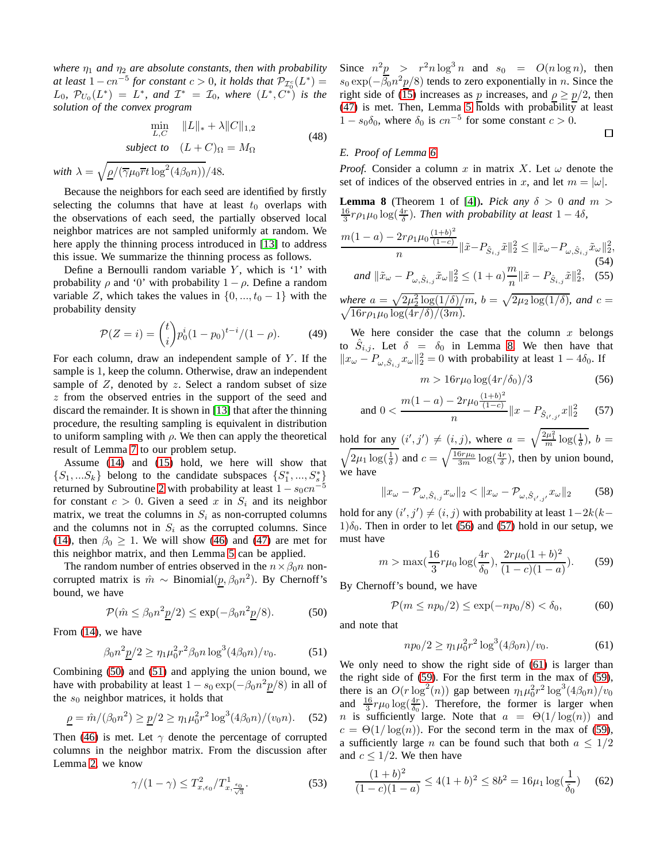*where*  $\eta_1$  *and*  $\eta_2$  *are absolute constants, then with probability at least*  $1 - cn^{-5}$  *for constant*  $c > 0$ *, it holds that*  $\mathcal{P}_{\mathcal{I}_0^c}(L^*) =$  $L_0$ ,  $\mathcal{P}_{U_0}(L^*) = L^*$ , and  $\mathcal{I}^* = \mathcal{I}_0$ , where  $(L^*, C^*)$  is the *solution of the convex program*

$$
\min_{L,C} \quad ||L||_* + \lambda ||C||_{1,2}
$$
\n
$$
\text{subject to} \quad (L+C)_{\Omega} = M_{\Omega}
$$
\n
$$
\text{with } \lambda = \sqrt{\rho / (\overline{\gamma}\mu_0 \overline{r}t \log^2(4\beta_0 n))}/48.
$$
\n
$$
(48)
$$

Because the neighbors for each seed are identified by firstly selecting the columns that have at least  $t_0$  overlaps with the observations of each seed, the partially observed local neighbor matrices are not sampled uniformly at random. We here apply the thinning process introduced in [\[13\]](#page-4-11) to address this issue. We summarize the thinning process as follows.

Define a Bernoulli random variable  $Y$ , which is '1' with probability  $\rho$  and '0' with probability  $1 - \rho$ . Define a random variable Z, which takes the values in  $\{0, ..., t_0 - 1\}$  with the probability density

$$
\mathcal{P}(Z=i) = {t \choose i} p_0^i (1-p_0)^{t-i} / (1-\rho). \tag{49}
$$

For each column, draw an independent sample of  $Y$ . If the sample is 1, keep the column. Otherwise, draw an independent sample of  $Z$ , denoted by  $z$ . Select a random subset of size z from the observed entries in the support of the seed and discard the remainder. It is shown in [\[13\]](#page-4-11) that after the thinning procedure, the resulting sampling is equivalent in distribution to uniform sampling with  $\rho$ . We then can apply the theoretical result of Lemma [7](#page-5-13) to our problem setup.

Assume [\(14\)](#page-2-14) and [\(15\)](#page-3-5) hold, we here will show that  $\{S_1, \ldots S_k\}$  belong to the candidate subspaces  $\{S_1^*, \ldots, S_s^*\}$ returned by Subroutine [2](#page-1-2) with probability at least  $1 - s_0 c n^{-5}$ for constant  $c > 0$ . Given a seed x in  $S_i$  and its neighbor matrix, we treat the columns in  $S_i$  as non-corrupted columns and the columns not in  $S_i$  as the corrupted columns. Since [\(14\)](#page-2-14), then  $\beta_0 \geq 1$ . We will show [\(46\)](#page-5-14) and [\(47\)](#page-5-15) are met for this neighbor matrix, and then Lemma [5](#page-2-10) can be applied.

The random number of entries observed in the  $n \times \beta_0 n$  noncorrupted matrix is  $\hat{m} \sim \text{Binomial}(\underline{p}, \beta_0 n^2)$ . By Chernoff's bound, we have

<span id="page-6-0"></span>
$$
\mathcal{P}(\hat{m} \le \beta_0 n^2 \underline{p}/2) \le \exp(-\beta_0 n^2 \underline{p}/8). \tag{50}
$$

From [\(14\)](#page-2-14), we have

<span id="page-6-1"></span>
$$
\beta_0 n^2 \underline{p}/2 \ge \eta_1 \mu_0^2 r^2 \beta_0 n \log^3(4\beta_0 n)/v_0.
$$
 (51)

Combining [\(50\)](#page-6-0) and [\(51\)](#page-6-1) and applying the union bound, we have with probability at least  $1 - s_0 \exp(-\beta_0 n^2 \underline{p}/8)$  in all of the  $s_0$  neighbor matrices, it holds that

$$
\underline{\rho} = \hat{m}/(\beta_0 n^2) \ge \underline{p}/2 \ge \eta_1 \mu_0^2 r^2 \log^3(4\beta_0 n)/(v_0 n). \quad (52)
$$

Then [\(46\)](#page-5-14) is met. Let  $\gamma$  denote the percentage of corrupted columns in the neighbor matrix. From the discussion after Lemma [2,](#page-2-3) we know

$$
\gamma/(1-\gamma) \le T_{x,\epsilon_0}^2/T_{x,\frac{\epsilon_0}{\sqrt{3}}}^1.
$$
 (53)

Since  $n^2p > r^2n \log^3 n$  and  $s_0 = O(n \log n)$ , then  $s_0 \exp(-\overline{\beta_0}n^2 \underline{p}/8)$  tends to zero exponentially in *n*. Since the right side of [\(15\)](#page-3-5) increases as p increases, and  $\rho \ge p/2$ , then [\(47\)](#page-5-15) is met. Then, Lemma [5](#page-2-10) holds with probability at least  $1 - s_0 \delta_0$ , where  $\delta_0$  is  $cn^{-5}$  for some constant  $c > 0$ .  $\Box$ 

# *E. Proof of Lemma [6](#page-3-2)*

*Proof.* Consider a column x in matrix X. Let  $\omega$  denote the set of indices of the observed entries in x, and let  $m = |\omega|$ .

<span id="page-6-2"></span>**Lemma 8** (Theorem 1 of [\[4\]](#page-4-37)). *Pick any*  $\delta > 0$  *and*  $m >$  $\frac{16}{3}r\rho_1\mu_0\log(\frac{4r}{\delta})$ . Then with probability at least  $1-4\delta$ ,

$$
\frac{m(1-a) - 2r\rho_1\mu_0 \frac{(1+b)^2}{(1-c)}}{n} \|\tilde{x} - P_{\hat{S}_{i,j}}\tilde{x}\|_2^2 \le \|\tilde{x}_{\omega} - P_{\omega,\hat{S}_{i,j}}\tilde{x}_{\omega}\|_2^2,
$$
\n(54)\nand\n
$$
\|\tilde{x}_{\omega} - P_{\omega,\hat{S}_{i,j}}\tilde{x}_{\omega}\|_2^2 \le (1+a)\frac{m}{n} \|\tilde{x} - P_{\hat{S}_{i,j}}\tilde{x}\|_2^2,
$$
\n(55)\nwhere\n
$$
a = \sqrt{2\mu_2^2 \log(1/\delta)/m}, \quad b = \sqrt{2\mu_2 \log(1/\delta)}, \quad \text{and} \quad c = \sqrt{16r\rho_1\mu_0 \log(4r/\delta)/(3m)}.
$$

We here consider the case that the column  $x$  belongs to  $\hat{S}_{i,j}$ . Let  $\delta = \delta_0$  in Lemma [8.](#page-6-2) We then have that  $||x_{\omega} - P_{\omega, \hat{S}_{i,j}} x_{\omega}||_2^2 = 0$  with probability at least  $1 - 4\delta_0$ . If

<span id="page-6-3"></span>
$$
m > 16r\mu_0 \log(4r/\delta_0)/3\tag{56}
$$

<span id="page-6-4"></span>and 
$$
0 < \frac{m(1-a) - 2r\mu_0 \frac{(1+b)^2}{(1-c)}}{n} ||x - P_{\hat{S}_{i',j'}} x||_2^2
$$
 (57)

hold for any  $(i', j') \neq (i, j)$ , where  $a = \sqrt{\frac{2\mu_1^2}{m} \log(\frac{1}{\delta})}$ ,  $b =$  $\sqrt{2\mu_1 \log(\frac{1}{\delta})}$  and  $c = \sqrt{\frac{16r\mu_0}{3m} \log(\frac{4r}{\delta})}$ , then by union bound, we have

$$
||x_{\omega} - \mathcal{P}_{\omega, \hat{S}_{i,j}} x_{\omega}||_2 < ||x_{\omega} - \mathcal{P}_{\omega, \hat{S}_{i',j'}} x_{\omega}||_2
$$
 (58)

hold for any  $(i', j') \neq (i, j)$  with probability at least  $1-2k(k-1)$  $1)\delta_0$ . Then in order to let [\(56\)](#page-6-3) and [\(57\)](#page-6-4) hold in our setup, we must have

<span id="page-6-6"></span>
$$
m > \max(\frac{16}{3}r\mu_0 \log(\frac{4r}{\delta_0}), \frac{2r\mu_0(1+b)^2}{(1-c)(1-a)}).
$$
 (59)

By Chernoff's bound, we have

<span id="page-6-7"></span>
$$
\mathcal{P}(m \le np_0/2) \le \exp(-np_0/8) < \delta_0,\tag{60}
$$

and note that

<span id="page-6-5"></span>
$$
np_0/2 \ge \eta_1 \mu_0^2 r^2 \log^3(4\beta_0 n)/v_0. \tag{61}
$$

We only need to show the right side of  $(61)$  is larger than the right side of [\(59\)](#page-6-6). For the first term in the max of [\(59\)](#page-6-6), there is an  $O(r \log^2(n))$  gap between  $\eta_1 \mu_0^2 r^2 \log^3(4\beta_0 n)/v_0$ and  $\frac{16}{3}r\mu_0 \log(\frac{4r}{\delta_0})$ . Therefore, the former is larger when *n* is sufficiently large. Note that  $a = \Theta(1/\log(n))$  and  $c = \Theta(1/\log(n))$ . For the second term in the max of [\(59\)](#page-6-6), a sufficiently large *n* can be found such that both  $a \leq 1/2$ and  $c \leq 1/2$ . We then have

$$
\frac{(1+b)^2}{(1-c)(1-a)} \le 4(1+b)^2 \le 8b^2 = 16\mu_1 \log(\frac{1}{\delta_0}) \quad (62)
$$